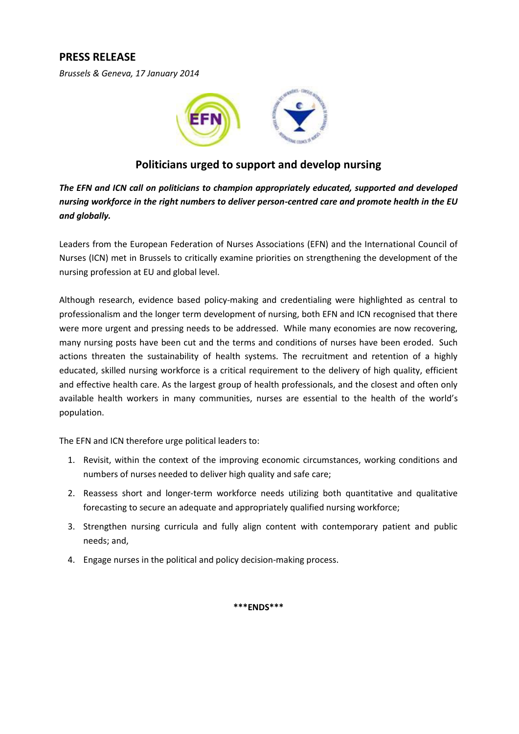# **PRESS RELEASE**

*Brussels & Geneva, 17 January 2014*



## **Politicians urged to support and develop nursing**

*The EFN and ICN call on politicians to champion appropriately educated, supported and developed nursing workforce in the right numbers to deliver person-centred care and promote health in the EU and globally.*

Leaders from the European Federation of Nurses Associations (EFN) and the International Council of Nurses (ICN) met in Brussels to critically examine priorities on strengthening the development of the nursing profession at EU and global level.

Although research, evidence based policy-making and credentialing were highlighted as central to professionalism and the longer term development of nursing, both EFN and ICN recognised that there were more urgent and pressing needs to be addressed. While many economies are now recovering, many nursing posts have been cut and the terms and conditions of nurses have been eroded. Such actions threaten the sustainability of health systems. The recruitment and retention of a highly educated, skilled nursing workforce is a critical requirement to the delivery of high quality, efficient and effective health care. As the largest group of health professionals, and the closest and often only available health workers in many communities, nurses are essential to the health of the world's population.

The EFN and ICN therefore urge political leaders to:

- 1. Revisit, within the context of the improving economic circumstances, working conditions and numbers of nurses needed to deliver high quality and safe care;
- 2. Reassess short and longer-term workforce needs utilizing both quantitative and qualitative forecasting to secure an adequate and appropriately qualified nursing workforce;
- 3. Strengthen nursing curricula and fully align content with contemporary patient and public needs; and,
- 4. Engage nurses in the political and policy decision-making process.

**\*\*\*ENDS\*\*\***